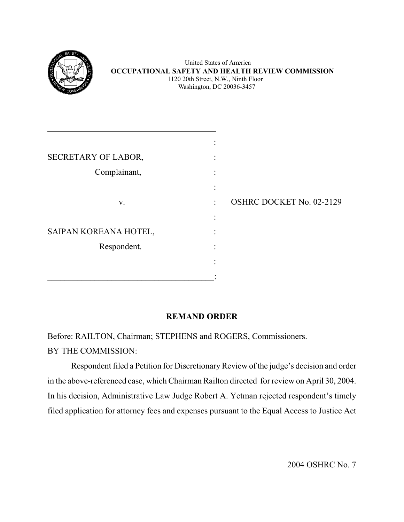

|                       | ٠                                 |                          |
|-----------------------|-----------------------------------|--------------------------|
| SECRETARY OF LABOR,   |                                   |                          |
| Complainant,          | ٠<br>$\bullet$                    |                          |
|                       | $\bullet$<br>$\ddot{\phantom{0}}$ |                          |
| V.                    | $\ddot{\phantom{a}}$              | OSHRC DOCKET No. 02-2129 |
|                       | $\bullet$                         |                          |
| SAIPAN KOREANA HOTEL, |                                   |                          |
| Respondent.           |                                   |                          |
|                       |                                   |                          |
|                       |                                   |                          |

# **REMAND ORDER**

Before: RAILTON, Chairman; STEPHENS and ROGERS, Commissioners. BY THE COMMISSION:

Respondent filed a Petition for Discretionary Review of the judge's decision and order in the above-referenced case, which Chairman Railton directed for review on April 30, 2004. In his decision, Administrative Law Judge Robert A. Yetman rejected respondent's timely filed application for attorney fees and expenses pursuant to the Equal Access to Justice Act

2004 OSHRC No. 7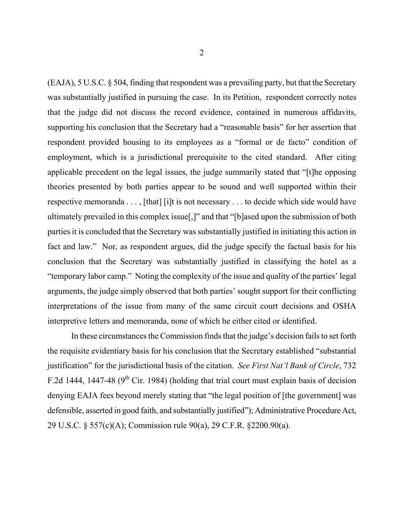(EAJA), 5 U.S.C. § 504, finding that respondent was a prevailing party, but that the Secretary was substantially justified in pursuing the case. In its Petition, respondent correctly notes that the judge did not discuss the record evidence, contained in numerous affidavits, supporting his conclusion that the Secretary had a "reasonable basis" for her assertion that respondent provided housing to its employees as a "formal or de facto" condition of employment, which is a jurisdictional prerequisite to the cited standard. After citing applicable precedent on the legal issues, the judge summarily stated that "[t]he opposing theories presented by both parties appear to be sound and well supported within their respective memoranda . . . , [that] [i]t is not necessary . . . to decide which side would have ultimately prevailed in this complex issue[,]" and that "[b]ased upon the submission of both parties it is concluded that the Secretary was substantially justified in initiating this action in fact and law." Nor, as respondent argues, did the judge specify the factual basis for his conclusion that the Secretary was substantially justified in classifying the hotel as a "temporary labor camp." Noting the complexity of the issue and quality of the parties' legal arguments, the judge simply observed that both parties' sought support for their conflicting interpretations of the issue from many of the same circuit court decisions and OSHA interpretive letters and memoranda, none of which he either cited or identified.

In these circumstances the Commission finds that the judge's decision fails to set forth the requisite evidentiary basis for his conclusion that the Secretary established "substantial justification" for the jurisdictional basis of the citation. *See First Nat'l Bank of Circle*, 732 F.2d 1444, 1447-48 ( $9<sup>th</sup>$  Cir. 1984) (holding that trial court must explain basis of decision denying EAJA fees beyond merely stating that "the legal position of [the government] was defensible, asserted in good faith, and substantially justified"); Administrative Procedure Act, 29 U.S.C. § 557(c)(A); Commission rule 90(a), 29 C.F.R. §2200.90(a).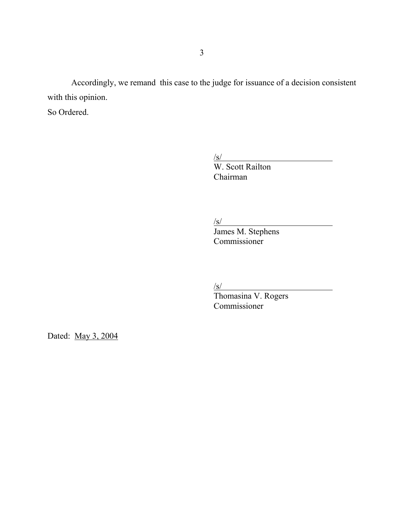Accordingly, we remand this case to the judge for issuance of a decision consistent with this opinion.

So Ordered.

 $\sqrt{s/}$ 

W. Scott Railton Chairman

 $\sqrt{s/}$ 

James M. Stephens Commissioner

 $\sqrt{s/}$ 

Thomasina V. Rogers Commissioner

Dated: May 3, 2004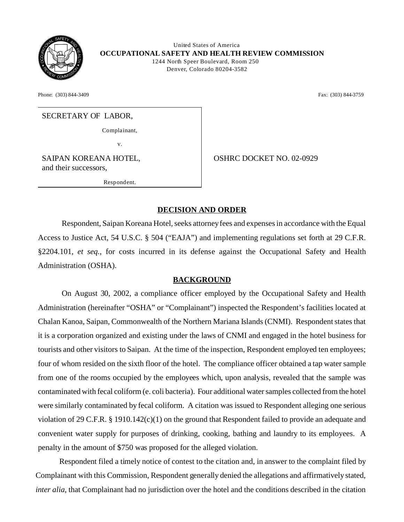

 United States of America **OCCUPATIONAL SAFETY AND HEALTH REVIEW COMMISSION**  1244 North Speer Boulevard, Room 250 Denver, Colorado 80204-3582

Phone: (303) 844-3409 **Fax:** (303) 844-3759

#### SECRETARY OF LABOR,

Complainant,

v.

SAIPAN KOREANA HOTEL, and their successors,

Resp ond ent.

OSHRC DOCKET NO. 02-0929

# **DECISION AND ORDER**

Respondent, Saipan Koreana Hotel, seeks attorney fees and expenses in accordance with the Equal Access to Justice Act, 54 U.S.C. § 504 ("EAJA") and implementing regulations set forth at 29 C.F.R. §2204.101, *et seq.*, for costs incurred in its defense against the Occupational Safety and Health Administration (OSHA).

### **BACKGROUND**

On August 30, 2002, a compliance officer employed by the Occupational Safety and Health Administration (hereinafter "OSHA" or "Complainant") inspected the Respondent's facilities located at Chalan Kanoa, Saipan, Commonwealth of the Northern Mariana Islands (CNMI). Respondent states that it is a corporation organized and existing under the laws of CNMI and engaged in the hotel business for tourists and other visitors to Saipan. At the time of the inspection, Respondent employed ten employees; four of whom resided on the sixth floor of the hotel. The compliance officer obtained a tap water sample from one of the rooms occupied by the employees which, upon analysis, revealed that the sample was contaminated with fecal coliform (e. coli bacteria). Four additional water samples collected from the hotel were similarly contaminated by fecal coliform. A citation was issued to Respondent alleging one serious violation of 29 C.F.R. § 1910.142(c)(1) on the ground that Respondent failed to provide an adequate and convenient water supply for purposes of drinking, cooking, bathing and laundry to its employees. A penalty in the amount of \$750 was proposed for the alleged violation.

Respondent filed a timely notice of contest to the citation and, in answer to the complaint filed by Complainant with this Commission, Respondent generally denied the allegations and affirmatively stated, *inter alia*, that Complainant had no jurisdiction over the hotel and the conditions described in the citation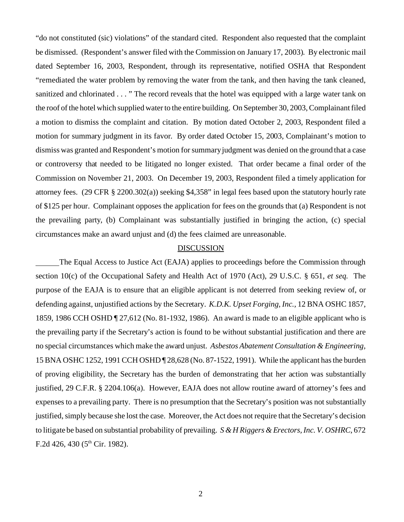"do not constituted (sic) violations" of the standard cited. Respondent also requested that the complaint be dismissed. (Respondent's answer filed with the Commission on January 17, 2003). By electronic mail dated September 16, 2003, Respondent, through its representative, notified OSHA that Respondent "remediated the water problem by removing the water from the tank, and then having the tank cleaned, sanitized and chlorinated . . . " The record reveals that the hotel was equipped with a large water tank on the roof of the hotel which supplied water to the entire building. On September 30, 2003, Complainant filed a motion to dismiss the complaint and citation. By motion dated October 2, 2003, Respondent filed a motion for summary judgment in its favor. By order dated October 15, 2003, Complainant's motion to dismiss was granted and Respondent's motion for summary judgment was denied on the ground that a case or controversy that needed to be litigated no longer existed. That order became a final order of the Commission on November 21, 2003. On December 19, 2003, Respondent filed a timely application for attorney fees. (29 CFR § 2200.302(a)) seeking \$4,358" in legal fees based upon the statutory hourly rate of \$125 per hour. Complainant opposes the application for fees on the grounds that (a) Respondent is not the prevailing party, (b) Complainant was substantially justified in bringing the action, (c) special circumstances make an award unjust and (d) the fees claimed are unreasonable.

#### DISCUSSION

The Equal Access to Justice Act (EAJA) applies to proceedings before the Commission through section 10(c) of the Occupational Safety and Health Act of 1970 (Act), 29 U.S.C. § 651, *et seq.* The purpose of the EAJA is to ensure that an eligible applicant is not deterred from seeking review of, or defending against, unjustified actions by the Secretary. *K.D.K. Upset Forging, Inc.,* 12 BNA OSHC 1857, 1859, 1986 CCH OSHD ¶ 27,612 (No. 81-1932, 1986). An award is made to an eligible applicant who is the prevailing party if the Secretary's action is found to be without substantial justification and there are no special circumstances which make the award unjust. *Asbestos Abatement Consultation & Engineering,*  15 BNA OSHC 1252, 1991 CCH OSHD ¶ 28,628 (No. 87-1522, 1991). While the applicant has the burden of proving eligibility, the Secretary has the burden of demonstrating that her action was substantially justified, 29 C.F.R. § 2204.106(a). However, EAJA does not allow routine award of attorney's fees and expenses to a prevailing party. There is no presumption that the Secretary's position was not substantially justified, simply because she lost the case. Moreover, the Act does not require that the Secretary's decision to litigate be based on substantial probability of prevailing. *S & H Riggers & Erectors, Inc. V. OSHRC*, 672 F.2d 426, 430 ( $5<sup>th</sup>$  Cir. 1982).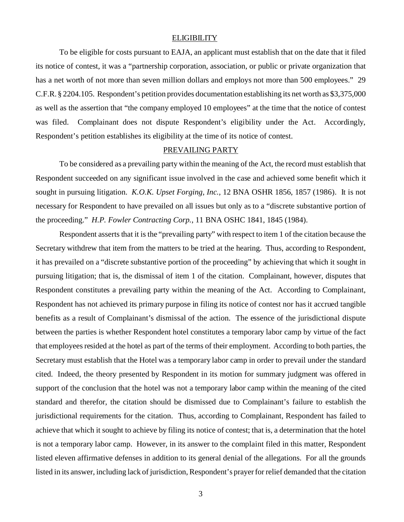#### **ELIGIBILITY**

To be eligible for costs pursuant to EAJA, an applicant must establish that on the date that it filed its notice of contest, it was a "partnership corporation, association, or public or private organization that has a net worth of not more than seven million dollars and employs not more than 500 employees." 29 C.F.R. § 2204.105. Respondent's petition provides documentation establishing its net worth as \$3,375,000 as well as the assertion that "the company employed 10 employees" at the time that the notice of contest was filed. Complainant does not dispute Respondent's eligibility under the Act. Accordingly, Respondent's petition establishes its eligibility at the time of its notice of contest.

### PREVAILING PARTY

To be considered as a prevailing party within the meaning of the Act, the record must establish that Respondent succeeded on any significant issue involved in the case and achieved some benefit which it sought in pursuing litigation. *K.O.K. Upset Forging, Inc.,* 12 BNA OSHR 1856, 1857 (1986). It is not necessary for Respondent to have prevailed on all issues but only as to a "discrete substantive portion of the proceeding." *H.P. Fowler Contracting Corp.*, 11 BNA OSHC 1841, 1845 (1984).

Respondent asserts that it is the "prevailing party" with respect to item 1 of the citation because the Secretary withdrew that item from the matters to be tried at the hearing. Thus, according to Respondent, it has prevailed on a "discrete substantive portion of the proceeding" by achieving that which it sought in pursuing litigation; that is, the dismissal of item 1 of the citation. Complainant, however, disputes that Respondent constitutes a prevailing party within the meaning of the Act. According to Complainant, Respondent has not achieved its primary purpose in filing its notice of contest nor has it accrued tangible benefits as a result of Complainant's dismissal of the action. The essence of the jurisdictional dispute between the parties is whether Respondent hotel constitutes a temporary labor camp by virtue of the fact that employees resided at the hotel as part of the terms of their employment. According to both parties, the Secretary must establish that the Hotel was a temporary labor camp in order to prevail under the standard cited. Indeed, the theory presented by Respondent in its motion for summary judgment was offered in support of the conclusion that the hotel was not a temporary labor camp within the meaning of the cited standard and therefor, the citation should be dismissed due to Complainant's failure to establish the jurisdictional requirements for the citation. Thus, according to Complainant, Respondent has failed to achieve that which it sought to achieve by filing its notice of contest; that is, a determination that the hotel is not a temporary labor camp. However, in its answer to the complaint filed in this matter, Respondent listed eleven affirmative defenses in addition to its general denial of the allegations. For all the grounds listed in its answer, including lack of jurisdiction, Respondent's prayer for relief demanded that the citation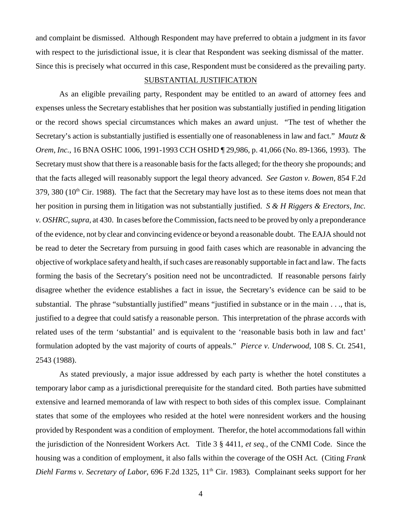and complaint be dismissed. Although Respondent may have preferred to obtain a judgment in its favor with respect to the jurisdictional issue, it is clear that Respondent was seeking dismissal of the matter. Since this is precisely what occurred in this case, Respondent must be considered as the prevailing party.

#### SUBSTANTIAL JUSTIFICATION

As an eligible prevailing party, Respondent may be entitled to an award of attorney fees and expenses unless the Secretary establishes that her position was substantially justified in pending litigation or the record shows special circumstances which makes an award unjust. "The test of whether the Secretary's action is substantially justified is essentially one of reasonableness in law and fact." *Mautz & Orem, Inc.*, 16 BNA OSHC 1006, 1991-1993 CCH OSHD ¶ 29,986, p. 41,066 (No. 89-1366, 1993). The Secretary must show that there is a reasonable basis for the facts alleged; for the theory she propounds; and that the facts alleged will reasonably support the legal theory advanced. *See Gaston v. Bowen,* 854 F.2d  $379, 380$  ( $10<sup>th</sup>$  Cir. 1988). The fact that the Secretary may have lost as to these items does not mean that her position in pursing them in litigation was not substantially justified. *S & H Riggers & Erectors, Inc. v. OSHRC, supra,* at 430. In cases before the Commission, facts need to be proved by only a preponderance of the evidence, not by clear and convincing evidence or beyond a reasonable doubt. The EAJA should not be read to deter the Secretary from pursuing in good faith cases which are reasonable in advancing the objective of workplace safety and health, if such cases are reasonably supportable in fact and law. The facts forming the basis of the Secretary's position need not be uncontradicted. If reasonable persons fairly disagree whether the evidence establishes a fact in issue, the Secretary's evidence can be said to be substantial. The phrase "substantially justified" means "justified in substance or in the main . . ., that is, justified to a degree that could satisfy a reasonable person. This interpretation of the phrase accords with related uses of the term 'substantial' and is equivalent to the 'reasonable basis both in law and fact' formulation adopted by the vast majority of courts of appeals." *Pierce v. Underwood*, 108 S. Ct. 2541, 2543 (1988).

As stated previously, a major issue addressed by each party is whether the hotel constitutes a temporary labor camp as a jurisdictional prerequisite for the standard cited. Both parties have submitted extensive and learned memoranda of law with respect to both sides of this complex issue. Complainant states that some of the employees who resided at the hotel were nonresident workers and the housing provided by Respondent was a condition of employment. Therefor, the hotel accommodations fall within the jurisdiction of the Nonresident Workers Act. Title 3 § 4411, *et seq.*, of the CNMI Code. Since the housing was a condition of employment, it also falls within the coverage of the OSH Act. (Citing *Frank Diehl Farms v. Secretary of Labor*, 696 F.2d 1325, 11<sup>th</sup> Cir. 1983). Complainant seeks support for her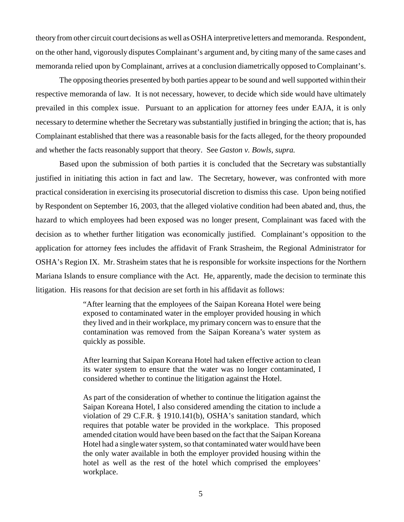theory from other circuit court decisions as well as OSHA interpretive letters and memoranda. Respondent, on the other hand, vigorously disputes Complainant's argument and, by citing many of the same cases and memoranda relied upon by Complainant, arrives at a conclusion diametrically opposed to Complainant's.

The opposing theories presented by both parties appear to be sound and well supported within their respective memoranda of law. It is not necessary, however, to decide which side would have ultimately prevailed in this complex issue. Pursuant to an application for attorney fees under EAJA, it is only necessary to determine whether the Secretary was substantially justified in bringing the action; that is, has Complainant established that there was a reasonable basis for the facts alleged, for the theory propounded and whether the facts reasonably support that theory. See *Gaston v. Bowls, supra.* 

Based upon the submission of both parties it is concluded that the Secretary was substantially justified in initiating this action in fact and law. The Secretary, however, was confronted with more practical consideration in exercising its prosecutorial discretion to dismiss this case. Upon being notified by Respondent on September 16, 2003, that the alleged violative condition had been abated and, thus, the hazard to which employees had been exposed was no longer present, Complainant was faced with the decision as to whether further litigation was economically justified. Complainant's opposition to the application for attorney fees includes the affidavit of Frank Strasheim, the Regional Administrator for OSHA's Region IX. Mr. Strasheim states that he is responsible for worksite inspections for the Northern Mariana Islands to ensure compliance with the Act. He, apparently, made the decision to terminate this litigation. His reasons for that decision are set forth in his affidavit as follows:

> "After learning that the employees of the Saipan Koreana Hotel were being exposed to contaminated water in the employer provided housing in which they lived and in their workplace, my primary concern was to ensure that the contamination was removed from the Saipan Koreana's water system as quickly as possible.

> After learning that Saipan Koreana Hotel had taken effective action to clean its water system to ensure that the water was no longer contaminated, I considered whether to continue the litigation against the Hotel.

> As part of the consideration of whether to continue the litigation against the Saipan Koreana Hotel, I also considered amending the citation to include a violation of 29 C.F.R. § 1910.141(b), OSHA's sanitation standard, which requires that potable water be provided in the workplace. This proposed amended citation would have been based on the fact that the Saipan Koreana Hotel had a single water system, so that contaminated water would have been the only water available in both the employer provided housing within the hotel as well as the rest of the hotel which comprised the employees' workplace.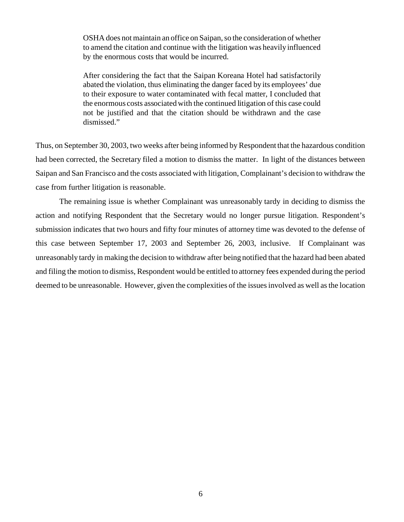OSHA does not maintain an office on Saipan, so the consideration of whether to amend the citation and continue with the litigation was heavily influenced by the enormous costs that would be incurred.

After considering the fact that the Saipan Koreana Hotel had satisfactorily abated the violation, thus eliminating the danger faced by its employees' due to their exposure to water contaminated with fecal matter, I concluded that the enormous costs associated with the continued litigation of this case could not be justified and that the citation should be withdrawn and the case dismissed."

Thus, on September 30, 2003, two weeks after being informed by Respondent that the hazardous condition had been corrected, the Secretary filed a motion to dismiss the matter. In light of the distances between Saipan and San Francisco and the costs associated with litigation, Complainant's decision to withdraw the case from further litigation is reasonable.

The remaining issue is whether Complainant was unreasonably tardy in deciding to dismiss the action and notifying Respondent that the Secretary would no longer pursue litigation. Respondent's submission indicates that two hours and fifty four minutes of attorney time was devoted to the defense of this case between September 17, 2003 and September 26, 2003, inclusive. If Complainant was unreasonably tardy in making the decision to withdraw after being notified that the hazard had been abated and filing the motion to dismiss, Respondent would be entitled to attorney fees expended during the period deemed to be unreasonable. However, given the complexities of the issues involved as well as the location